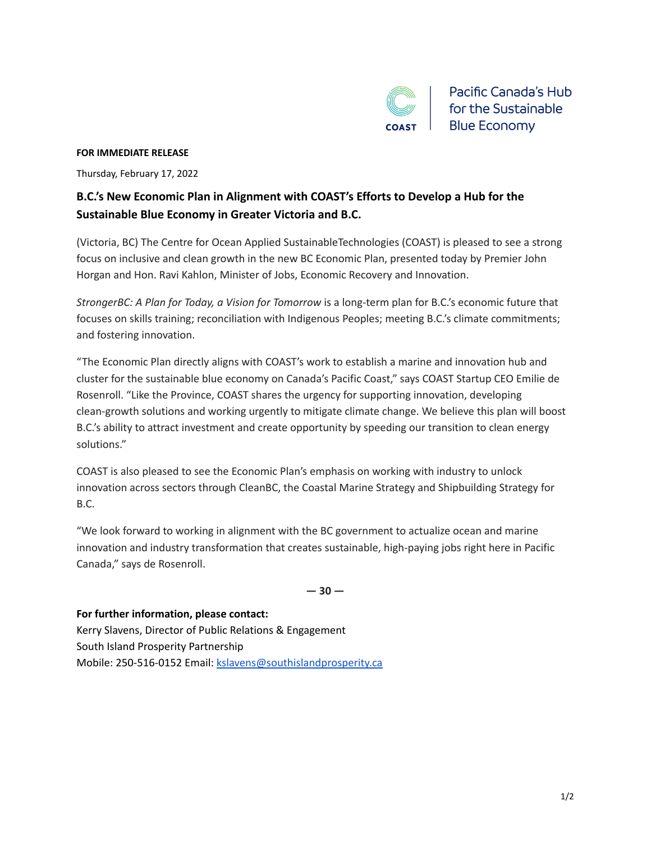

Pacific Canada's Hub for the Sustainable **Blue Economy** 

## **FOR IMMEDIATE RELEASE**

Thursday, February 17, 2022

## **B.C.'s New Economic Plan in Alignment with COAST's Efforts to Develop a Hub for the Sustainable Blue Economy in Greater Victoria and B.C.**

(Victoria, BC) The Centre for Ocean Applied SustainableTechnologies (COAST) is pleased to see a strong focus on inclusive and clean growth in the new BC Economic Plan, presented today by Premier John Horgan and Hon. Ravi Kahlon, Minister of Jobs, Economic Recovery and Innovation.

*StrongerBC: A Plan for Today, a Vision for Tomorrow* is a long-term plan for B.C.'s economic future that focuses on skills training; reconciliation with Indigenous Peoples; meeting B.C.'s climate commitments; and fostering innovation.

"The Economic Plan directly aligns with COAST's work to establish a marine and innovation hub and cluster for the sustainable blue economy on Canada's Pacific Coast," says COAST Startup CEO Emilie de Rosenroll. "Like the Province, COAST shares the urgency for supporting innovation, developing clean-growth solutions and working urgently to mitigate climate change. We believe this plan will boost B.C.'s ability to attract investment and create opportunity by speeding our transition to clean energy solutions."

COAST is also pleased to see the Economic Plan's emphasis on working with industry to unlock innovation across sectors through CleanBC, the Coastal Marine Strategy and Shipbuilding Strategy for B.C.

"We look forward to working in alignment with the BC government to actualize ocean and marine innovation and industry transformation that creates sustainable, high-paying jobs right here in Pacific Canada," says de Rosenroll.

**— 30 —**

**For further information, please contact:** Kerry Slavens, Director of Public Relations & Engagement South Island Prosperity Partnership Mobile: 250-516-0152 Email: [kslavens@southislandprosperity.ca](mailto:kslavens@southislandprosperity.ca)